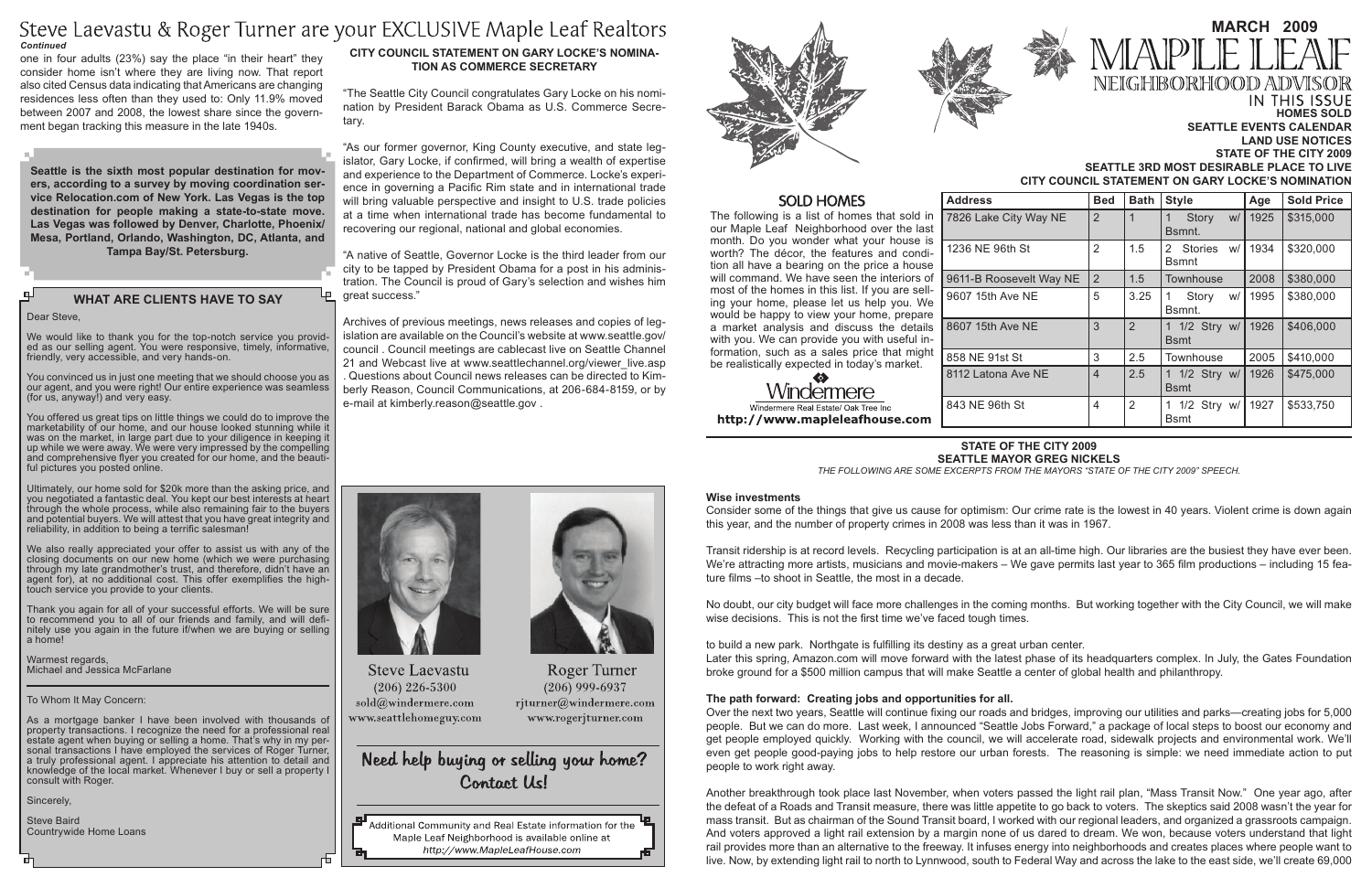The following is a list of homes that sold in our Maple Leaf Neighborhood over the last month. Do you wonder what your house is worth? The décor, the features and condition all have a bearing on the price a house will command. We have seen the interiors of most of the homes in this list. If you are selling your home, please let us help you. We would be happy to view your home, prepare a market analysis and discuss the details with you. We can provide you with useful information, such as a sales price that might be realistically expected in today's market.

Windermere Windermere Real Estate/ Oak Tree Inc http://www.mapleleafhouse.com

We would like to thank you for the top-notch service you provid-<br>ed as our selling agent. You were responsive, timely, informative, friendly, very accessible, and very hands-on.

# **What Are Clients Have to Say**

Dear Steve,

Ultimately, our home sold for \$20k more than the asking price, and you negotiated a fantastic deal. You kept our best interests at heart through the whole process, while also remaining fair to the buyers and potential buyers. We will attest that you have great integrity and reliability, in addition to being a terrific salesman!

You convinced us in just one meeting that we should choose you as our agent, and you were right! Our entire experience was seamless (for us, anyway!) and very easy.

You offered us great tips on little things we could do to improve the marketability of our home, and our house looked stunning while it was on the market, in large part due to your diligence in keeping it up while we were away. We were very impressed by the compelling and comprehensive flyer you created for our home, and the beauti- ful pictures you posted online.

We also really appreciated your offer to assist us with any of the closing documents on our new home (which we were purchasing through my late grandmother's trust, and therefore, didn't have an agent for), at no additional cost. This offer exemplifies the hightouch service you provide to your clients.

Thank you again for all of your successful efforts. We will be sure to recommend you to all of our friends and family, and will definitely use you again in the future if/when we are buying or selling a home!

Warmest regards, Michael and Jessica McFarlane

#### To Whom It May Concern:

As a mortgage banker I have been involved with thousands of property transactions. I recognize the need for a professional real estate agent when buying or selling a home. That's why in my personal transactions I have employed the services of Roger Turner, a truly professional agent. I appreciate his attention to detail and knowledge of the local market. Whenever I buy or sell a property I consult with Roger.

Sincerely,

Steve Baird Countrywide Home Loans

| <b>Address</b>          | <b>Bed</b>               | <b>Bath</b>    | <b>Style</b>                      | Age  | <b>Sold Price</b> |
|-------------------------|--------------------------|----------------|-----------------------------------|------|-------------------|
| 7826 Lake City Way NE   | 2                        | $\mathbf 1$    | Story<br>W/<br>Bsmnt.             | 1925 | \$315,000         |
| 1236 NE 96th St         | $\overline{2}$           | 1.5            | 2 Stories<br>w/ <br><b>B</b> smnt | 1934 | \$320,000         |
| 9611-B Roosevelt Way NE | $\overline{2}$           | 1.5            | Townhouse                         | 2008 | \$380,000         |
| 9607 15th Ave NE        | 5                        | 3.25           | Story<br>w/l<br>Bsmnt.            | 1995 | \$380,000         |
| 8607 15th Ave NE        | 3                        | $\overline{2}$ | 1 1/2 Stry w/<br><b>B</b> smt     | 1926 | \$406,000         |
| 858 NE 91st St          | 3                        | 2.5            | Townhouse                         | 2005 | \$410,000         |
| 8112 Latona Ave NE      | $\overline{\mathcal{A}}$ | 2.5            | 1 1/2 Stry w/<br><b>B</b> smt     | 1926 | \$475,000         |
| 843 NE 96th St          | 4                        | 2              | 1 1/2 Stry w/<br><b>B</b> smt     | 1927 | \$533,750         |

# Steve Laevastu & Roger Turner are your EXCLUSIVE Maple Leaf Realtors *Continued*

#### **Homes Sold Seattle Events Calendar Land Use Notices** STATE OF THE CITY 2009 **Seattle 3rd Most Desirable Place to Live CITY COUNCIL STATEMENT ON GARY LOCKE'S NOMINATION**

# **State of the City 2009**

# **Seattle Mayor Greg Nickels**

*The following are some excerpts from the Mayors "State of the City 2009" speech.*

#### **Wise investments**

Consider some of the things that give us cause for optimism: Our crime rate is the lowest in 40 years. Violent crime is down again this year, and the number of property crimes in 2008 was less than it was in 1967.

Transit ridership is at record levels. Recycling participation is at an all-time high. Our libraries are the busiest they have ever been. We're attracting more artists, musicians and movie-makers – We gave permits last year to 365 film productions – including 15 feature films –to shoot in Seattle, the most in a decade.

No doubt, our city budget will face more challenges in the coming months. But working together with the City Council, we will make wise decisions. This is not the first time we've faced tough times.

to build a new park. Northgate is fulfilling its destiny as a great urban center. Later this spring, Amazon.com will move forward with the latest phase of its headquarters complex. In July, the Gates Foundation broke ground for a \$500 million campus that will make Seattle a center of global health and philanthropy.

## **The path forward: Creating jobs and opportunities for all.**

Over the next two years, Seattle will continue fixing our roads and bridges, improving our utilities and parks—creating jobs for 5,000 people. But we can do more. Last week, I announced "Seattle Jobs Forward," a package of local steps to boost our economy and get people employed quickly. Working with the council, we will accelerate road, sidewalk projects and environmental work. We'll even get people good-paying jobs to help restore our urban forests. The reasoning is simple: we need immediate action to put people to work right away.

Another breakthrough took place last November, when voters passed the light rail plan, "Mass Transit Now." One year ago, after the defeat of a Roads and Transit measure, there was little appetite to go back to voters. The skeptics said 2008 wasn't the year for mass transit. But as chairman of the Sound Transit board, I worked with our regional leaders, and organized a grassroots campaign. And voters approved a light rail extension by a margin none of us dared to dream. We won, because voters understand that light rail provides more than an alternative to the freeway. It infuses energy into neighborhoods and creates places where people want to live. Now, by extending light rail to north to Lynnwood, south to Federal Way and across the lake to the east side, we'll create 69,000



# **March 2009** NEIGHBORHOOD) IN THIS ISSUE

one in four adults (23%) say the place "in their heart" they consider home isn't where they are living now. That report also cited Census data indicating that Americans are changing residences less often than they used to: Only 11.9% moved between 2007 and 2008, the lowest share since the government began tracking this measure in the late 1940s.

# **CITY COUNCIL STATEMENT ON GARY LOCKE'S NOMINA-TION AS COMMERCE SECRETARY**

"The Seattle City Council congratulates Gary Locke on his nomination by President Barack Obama as U.S. Commerce Secretary.

"As our former governor, King County executive, and state legislator, Gary Locke, if confirmed, will bring a wealth of expertise and experience to the Department of Commerce. Locke's experience in governing a Pacific Rim state and in international trade will bring valuable perspective and insight to U.S. trade policies at a time when international trade has become fundamental to recovering our regional, national and global economies.

"A native of Seattle, Governor Locke is the third leader from our city to be tapped by President Obama for a post in his administration. The Council is proud of Gary's selection and wishes him great success."

Archives of previous meetings, news releases and copies of legislation are available on the Council's website at www.seattle.gov/ council . Council meetings are cablecast live on Seattle Channel 21 and Webcast live at www.seattlechannel.org/viewer\_live.asp . Questions about Council news releases can be directed to Kimberly Reason, Council Communications, at 206-684-8159, or by e-mail at kimberly.reason@seattle.gov .



**Steve Laevastu**  $(206)$  226-5300 sold@windermere.com www.seattlehomeguy.com

# Need help buying or selling your home? Contact Us!

**Roger Turner** 

 $(206)$  999-6937

rjturner@windermere.com

www.rogerjturner.com

Additional Community and Real Estate information for the Maple Leaf Neighborhood is available online at http://www.MapleLeafHouse.com





# **SOLD HOMES**

**Seattle is the sixth most popular destination for movers, according to a survey by moving coordination service Relocation.com of New York. Las Vegas is the top destination for people making a state-to-state move. Las Vegas was followed by Denver, Charlotte, Phoenix/ Mesa, Portland, Orlando, Washington, DC, Atlanta, and Tampa Bay/St. Petersburg.**